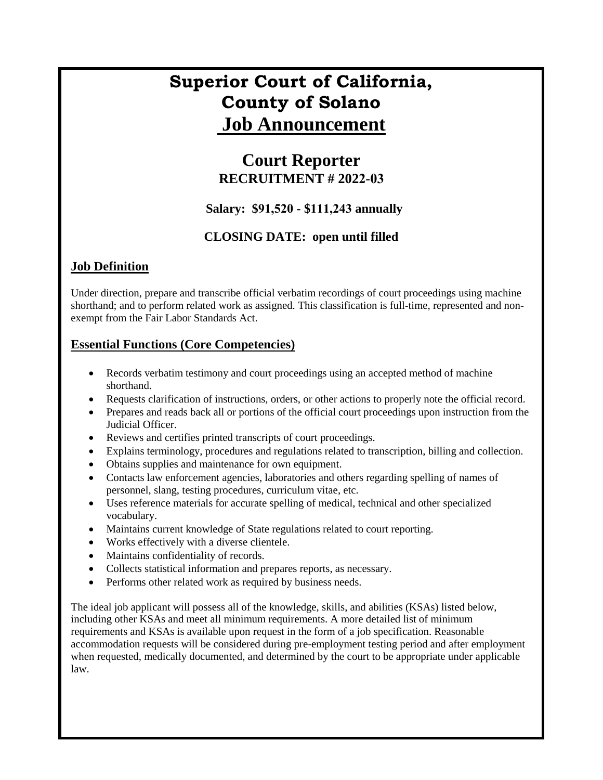# **Superior Court of California, County of Solano Job Announcement**

# **Court Reporter RECRUITMENT # 2022-03**

#### **Salary: \$91,520 - \$111,243 annually**

### **CLOSING DATE: open until filled**

## **Job Definition**

Under direction, prepare and transcribe official verbatim recordings of court proceedings using machine shorthand; and to perform related work as assigned. This classification is full-time, represented and nonexempt from the Fair Labor Standards Act.

#### **Essential Functions (Core Competencies)**

- Records verbatim testimony and court proceedings using an accepted method of machine shorthand.
- Requests clarification of instructions, orders, or other actions to properly note the official record.
- Prepares and reads back all or portions of the official court proceedings upon instruction from the Judicial Officer.
- Reviews and certifies printed transcripts of court proceedings.
- Explains terminology, procedures and regulations related to transcription, billing and collection.
- Obtains supplies and maintenance for own equipment.
- Contacts law enforcement agencies, laboratories and others regarding spelling of names of personnel, slang, testing procedures, curriculum vitae, etc.
- Uses reference materials for accurate spelling of medical, technical and other specialized vocabulary.
- Maintains current knowledge of State regulations related to court reporting.
- Works effectively with a diverse clientele.
- Maintains confidentiality of records.
- Collects statistical information and prepares reports, as necessary.
- Performs other related work as required by business needs.

The ideal job applicant will possess all of the knowledge, skills, and abilities (KSAs) listed below, including other KSAs and meet all minimum requirements. A more detailed list of minimum requirements and KSAs is available upon request in the form of a job specification. Reasonable accommodation requests will be considered during pre-employment testing period and after employment when requested, medically documented, and determined by the court to be appropriate under applicable law.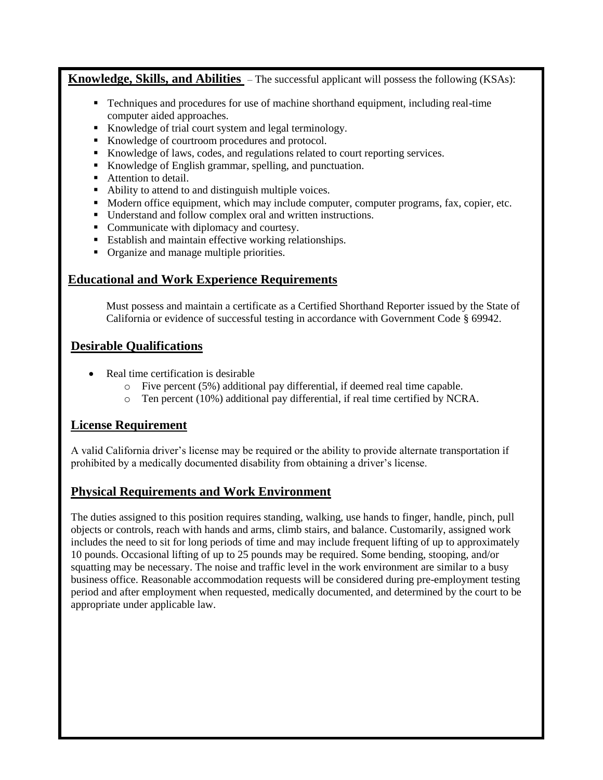**Knowledge, Skills, and Abilities** – The successful applicant will possess the following (KSAs):

- Techniques and procedures for use of machine shorthand equipment, including real-time computer aided approaches.
- Knowledge of trial court system and legal terminology.
- Knowledge of courtroom procedures and protocol.
- Knowledge of laws, codes, and regulations related to court reporting services.
- Knowledge of English grammar, spelling, and punctuation.
- Attention to detail.
- Ability to attend to and distinguish multiple voices.
- $\blacksquare$  Modern office equipment, which may include computer, computer programs, fax, copier, etc.
- Understand and follow complex oral and written instructions.
- Communicate with diplomacy and courtesy.
- **Establish and maintain effective working relationships.**
- Organize and manage multiple priorities.

#### **Educational and Work Experience Requirements**

Must possess and maintain a certificate as a Certified Shorthand Reporter issued by the State of California or evidence of successful testing in accordance with Government Code § 69942.

#### **Desirable Qualifications**

- Real time certification is desirable
	- o Five percent (5%) additional pay differential, if deemed real time capable.
	- $\circ$  Ten percent (10%) additional pay differential, if real time certified by NCRA.

#### **License Requirement**

A valid California driver's license may be required or the ability to provide alternate transportation if prohibited by a medically documented disability from obtaining a driver's license.

#### **Physical Requirements and Work Environment**

The duties assigned to this position requires standing, walking, use hands to finger, handle, pinch, pull objects or controls, reach with hands and arms, climb stairs, and balance. Customarily, assigned work includes the need to sit for long periods of time and may include frequent lifting of up to approximately 10 pounds. Occasional lifting of up to 25 pounds may be required. Some bending, stooping, and/or squatting may be necessary. The noise and traffic level in the work environment are similar to a busy business office. Reasonable accommodation requests will be considered during pre-employment testing period and after employment when requested, medically documented, and determined by the court to be appropriate under applicable law.